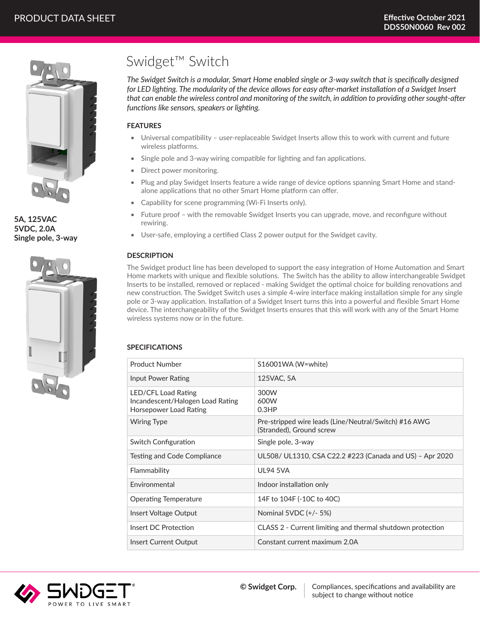

**5A, 125VAC 5VDC, 2.0A Single pole, 3-way**



# Swidget™ Switch

*The Swidget Switch is a modular, Smart Home enabled single or 3-way switch that is specifically designed*  for LED lighting. The modularity of the device allows for easy after-market installation of a Swidget Insert *that can enable the wireless control and monitoring of the switch, in addition to providing other sought-after functions like sensors, speakers or lighting.* 

## **FEATURES**

- Universal compatibility user-replaceable Swidget Inserts allow this to work with current and future wireless platforms.
- Single pole and 3-way wiring compatible for lighting and fan applications.
- Direct power monitoring.
- Plug and play Swidget Inserts feature a wide range of device options spanning Smart Home and standalone applications that no other Smart Home platform can offer.
- Capability for scene programming (Wi-Fi Inserts only).
- Future proof with the removable Swidget Inserts you can upgrade, move, and reconfigure without rewiring.
- User-safe, employing a certified Class 2 power output for the Swidget cavity.

## **DESCRIPTION**

The Swidget product line has been developed to support the easy integration of Home Automation and Smart Home markets with unique and flexible solutions. The Switch has the ability to allow interchangeable Swidget Inserts to be installed, removed or replaced - making Swidget the optimal choice for building renovations and new construction. The Swidget Switch uses a simple 4-wire interface making installation simple for any single pole or 3-way application. Installation of a Swidget Insert turns this into a powerful and flexible Smart Home device. The interchangeability of the Swidget Inserts ensures that this will work with any of the Smart Home wireless systems now or in the future.

## **SPECIFICATIONS**

| Product Number                                                                    | S16001WA (W=white)                                                                |
|-----------------------------------------------------------------------------------|-----------------------------------------------------------------------------------|
| Input Power Rating                                                                | 125VAC, 5A                                                                        |
| LED/CFL Load Rating<br>Incandescent/Halogen Load Rating<br>Horsepower Load Rating | 300W<br>600W<br>0.3HP                                                             |
| <b>Wiring Type</b>                                                                | Pre-stripped wire leads (Line/Neutral/Switch) #16 AWG<br>(Stranded), Ground screw |
| Switch Configuration                                                              | Single pole, 3-way                                                                |
| Testing and Code Compliance                                                       | UL508/ UL1310, CSA C22.2 #223 (Canada and US) - Apr 2020                          |
| Flammability                                                                      | <b>UL94 5VA</b>                                                                   |
| Environmental                                                                     | Indoor installation only                                                          |
| <b>Operating Temperature</b>                                                      | 14F to 104F (-10C to 40C)                                                         |
| Insert Voltage Output                                                             | Nominal 5VDC (+/- 5%)                                                             |
| Insert DC Protection                                                              | CLASS 2 - Current limiting and thermal shutdown protection                        |
| Insert Current Output                                                             | Constant current maximum 2.0A                                                     |

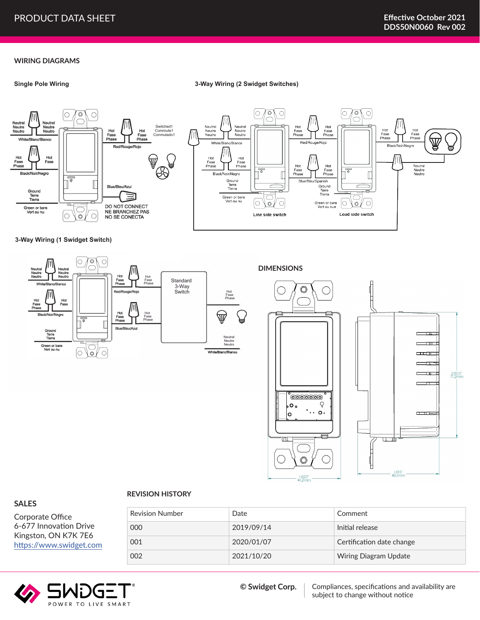#### **WIRING DIAGRAMS**

#### **Single Pole Wiring**

#### **3-Way Wiring (2 Swidget Switches)**



**3-Way Wiring (1 Swidget Switch)**



#### **REVISION HISTORY**

Corporate Office 6-677 Innovation Drive Kingston, ON K7K 7E6 https://www.swidget.com

**SALES**

| <b>Revision Number</b> | Date       | Comment                   |
|------------------------|------------|---------------------------|
| 000                    | 2019/09/14 | Initial release           |
| 001                    | 2020/01/07 | Certification date change |
| 002                    | 2021/10/20 | Wiring Diagram Update     |

1.622"<br>41.2mm



Compliances, specifications and availability are subject to change without notice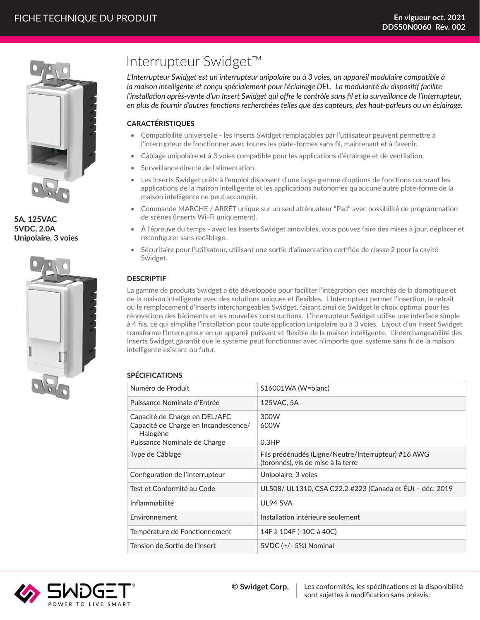

**5A, 125VAC 5VDC, 2.0A Unipolaire, 3 voies**



# Interrupteur Swidget™

*L'Interrupteur Swidget est un interrupteur unipolaire ou à 3 voies, un appareil modulaire compatible à la maison intelligente et conçu spécialement pour l'éclairage DEL. La modularité du dispositif facilite l'installation après-vente d'un Insert Swidget qui offre le contrôle sans fil et la surveillance de l'Interrupteur, en plus de fournir d'autres fonctions recherchées telles que des capteurs, des haut-parleurs ou un éclairage.* 

# **CARACTÉRISTIQUES**

- Compatibilité universelle les Inserts Swidget remplaçables par l'utilisateur peuvent permettre à l'interrupteur de fonctionner avec toutes les plate-formes sans fil, maintenant et à l'avenir.
- Câblage unipolaire et à 3 voies compatible pour les applications d'éclairage et de ventilation.
- Surveillance directe de l'alimentation.
- Les Inserts Swidget prêts à l'emploi disposent d'une large gamme d'options de fonctions couvrant les applications de la maison intelligente et les applications autonomes qu'aucune autre plate-forme de la maison intelligente ne peut accomplir.
- Commande MARCHE / ARRÊT unique sur un seul atténuateur "Pad" avec possibilité de programmation de scènes (Inserts Wi-Fi uniquement).
- À l'épreuve du temps avec les Inserts Swidget amovibles, vous pouvez faire des mises à jour, déplacer et reconfigurer sans recâblage.
- Sécuritaire pour l'utilisateur, utilisant une sortie d'alimentation certifiée de classe 2 pour la cavité Swidget.

# **DESCRIPTIF**

La gamme de produits Swidget a été développée pour faciliter l'intégration des marchés de la domotique et de la maison intelligente avec des solutions uniques et flexibles. L'Interrupteur permet l'insertion, le retrait ou le remplacement d'Inserts interchangeables Swidget, faisant ainsi de Swidget le choix optimal pour les rénovations des bâtiments et les nouvelles constructions. L'Interrupteur Swidget utilise une interface simple à 4 fils, ce qui simplifie l'installation pour toute application unipolaire ou à 3 voies. L'ajout d'un Insert Swidget transforme l'Interrupteur en un appareil puissant et flexible de la maison intelligente. L'interchangeabilité des Inserts Swidget garantit que le système peut fonctionner avec n'importe quel système sans fil de la maison intelligente existant ou futur.

## **SPÉCIFICATIONS**

| Numéro de Produit                                                                                                 | S16001WA (W=blanc)                                                                        |
|-------------------------------------------------------------------------------------------------------------------|-------------------------------------------------------------------------------------------|
| Puissance Nominale d'Entrée                                                                                       | 125VAC, 5A                                                                                |
| Capacité de Charge en DEL/AFC<br>Capacité de Charge en Incandescence/<br>Halogène<br>Puissance Nominale de Charge | 300W<br>600W<br>0.3HP                                                                     |
| Type de Câblage                                                                                                   | Fils prédénudés (Ligne/Neutre/Interrupteur) #16 AWG<br>(toronnés), vis de mise à la terre |
| Configuration de l'Interrupteur                                                                                   | Unipolaire, 3 voies                                                                       |
| Test et Conformité au Code                                                                                        | UL508/ UL1310, CSA C22.2 #223 (Canada et ÉU) - déc. 2019                                  |
| Inflammabilité                                                                                                    | <b>UL94 5VA</b>                                                                           |
| Fnvironnement                                                                                                     | Installation intérieure seulement                                                         |
| Température de Fonctionnement                                                                                     | 14F à 104F (-10C à 40C)                                                                   |
| Tension de Sortie de l'Insert                                                                                     | 5VDC (+/- 5%) Nominal                                                                     |